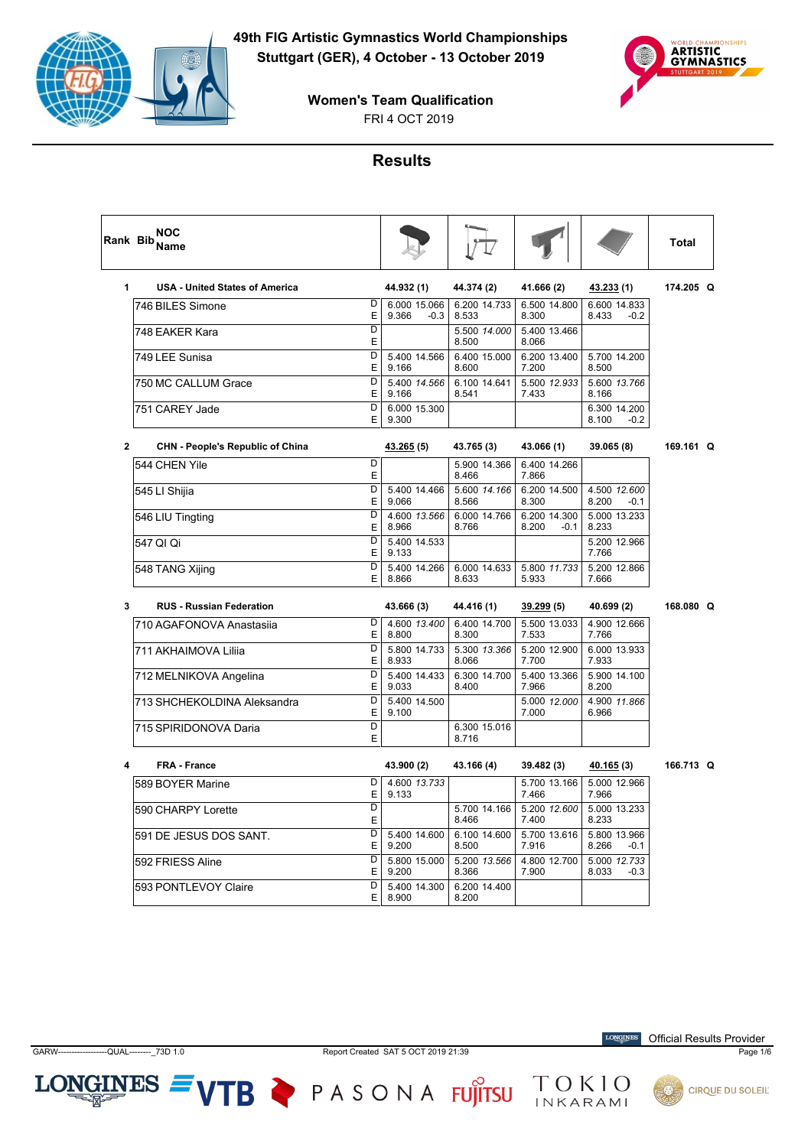



**Women's Team Qualification**

## **Results**

|              | <b>NOC</b><br>Rank Bib Name                    |   |                                 |                       |                                 |                                 | <b>Total</b> |  |
|--------------|------------------------------------------------|---|---------------------------------|-----------------------|---------------------------------|---------------------------------|--------------|--|
| 1            | <b>USA - United States of America</b>          |   | 44.932 (1)                      | 44.374 (2)            | 41.666 (2)                      | 43.233 (1)                      | 174.205 Q    |  |
|              | D<br>746 BILES Simone<br>E                     |   | 6.000 15.066<br>9.366<br>$-0.3$ | 6.200 14.733<br>8.533 | 6.500 14.800<br>8.300           | 6.600 14.833<br>8.433<br>$-0.2$ |              |  |
|              | $\overline{D}$<br>748 EAKER Kara<br>Е          |   |                                 | 5.500 14.000<br>8.500 | 5.400 13.466<br>8.066           |                                 |              |  |
|              | $\overline{D}$<br>749 LEE Sunisa<br>E          |   | 5.400 14.566<br>9.166           | 6.400 15.000<br>8.600 | 6.200 13.400<br>7.200           | 5.700 14.200<br>8.500           |              |  |
|              | D<br>750 MC CALLUM Grace<br>E                  |   | 5.400 14.566<br>9.166           | 6.100 14.641<br>8.541 | 5.500 12.933<br>7.433           | 5.600 13.766<br>8.166           |              |  |
|              | $\overline{\mathsf{D}}$<br>751 CAREY Jade<br>E |   | 6.000 15.300<br>9.300           |                       |                                 | 6.300 14.200<br>8.100<br>$-0.2$ |              |  |
| $\mathbf{2}$ | <b>CHN - People's Republic of China</b>        |   | 43.265 (5)                      | 43.765 (3)            | 43.066 (1)                      | 39.065 (8)                      | 169.161 Q    |  |
|              | D<br>544 CHEN Yile<br>E                        |   |                                 | 5.900 14.366<br>8.466 | 6.400 14.266<br>7.866           |                                 |              |  |
|              | $\overline{D}$<br>545 LI Shijia<br>E           |   | 5.400 14.466<br>9.066           | 5.600 14.166<br>8.566 | 6.200 14.500<br>8.300           | 4.500 12.600<br>8.200<br>$-0.1$ |              |  |
|              | $\overline{D}$<br>546 LIU Tingting<br>E        |   | 4.600 13.566<br>8.966           | 6.000 14.766<br>8.766 | 6.200 14.300<br>8.200<br>$-0.1$ | 5.000 13.233<br>8.233           |              |  |
|              | D<br>547 QI Qi<br>E                            |   | 5.400 14.533<br>9.133           |                       |                                 | 5.200 12.966<br>7.766           |              |  |
|              | D<br>548 TANG Xijing<br>E                      |   | 5.400 14.266<br>8.866           | 6.000 14.633<br>8.633 | 5.800 11.733<br>5.933           | 5.200 12.866<br>7.666           |              |  |
| 3            | <b>RUS - Russian Federation</b>                |   | 43.666 (3)                      | 44.416 (1)            | 39.299(5)                       | 40.699 (2)                      | 168,080 Q    |  |
|              | D<br>710 AGAFONOVA Anastasija<br>Е             |   | 4.600 13.400<br>8.800           | 6.400 14.700<br>8.300 | 5.500 13.033<br>7.533           | 4.900 12.666<br>7.766           |              |  |
|              | D<br>711 AKHAIMOVA Lilija<br>E                 |   | 5.800 14.733<br>8.933           | 5.300 13.366<br>8.066 | 5.200 12.900<br>7.700           | 6.000 13.933<br>7.933           |              |  |
|              | D<br>712 MELNIKOVA Angelina<br>E               |   | 5.400 14.433<br>9.033           | 6.300 14.700<br>8.400 | 5.400 13.366<br>7.966           | 5.900 14.100<br>8.200           |              |  |
|              | D<br>713 SHCHEKOLDINA Aleksandra               | E | 5.400 14.500<br>9.100           |                       | 5.000 12.000<br>7.000           | 4.900 11.866<br>6.966           |              |  |
|              | D<br>715 SPIRIDONOVA Daria<br>E                |   |                                 | 6.300 15.016<br>8.716 |                                 |                                 |              |  |
| 4            | <b>FRA - France</b>                            |   | 43.900 (2)                      | 43.166 (4)            | 39.482 (3)                      | 40.165 (3)                      | 166.713 Q    |  |
|              | D<br>589 BOYER Marine<br>E                     |   | 4.600 13.733<br>9.133           |                       | 5.700 13.166<br>7.466           | 5.000 12.966<br>7.966           |              |  |
|              | D<br>590 CHARPY Lorette<br>E                   |   |                                 | 5.700 14.166<br>8.466 | 5.200 12.600<br>7.400           | 5.000 13.233<br>8.233           |              |  |
|              | D<br>591 DE JESUS DOS SANT.<br>E               |   | 5.400 14.600<br>9.200           | 6.100 14.600<br>8.500 | 5.700 13.616<br>7.916           | 5.800 13.966<br>8.266<br>$-0.1$ |              |  |
|              | D<br>592 FRIESS Aline<br>E                     |   | 5.800 15.000<br>9.200           | 5.200 13.566<br>8.366 | 4.800 12.700<br>7.900           | 5.000 12.733<br>8.033<br>$-0.3$ |              |  |
|              | D<br>593 PONTLEVOY Claire                      | E | 5.400 14.300<br>8.900           | 6.200 14.400<br>8.200 |                                 |                                 |              |  |

 $LONGINES =$ 

VTB PASONA FUJITSU TOKIO



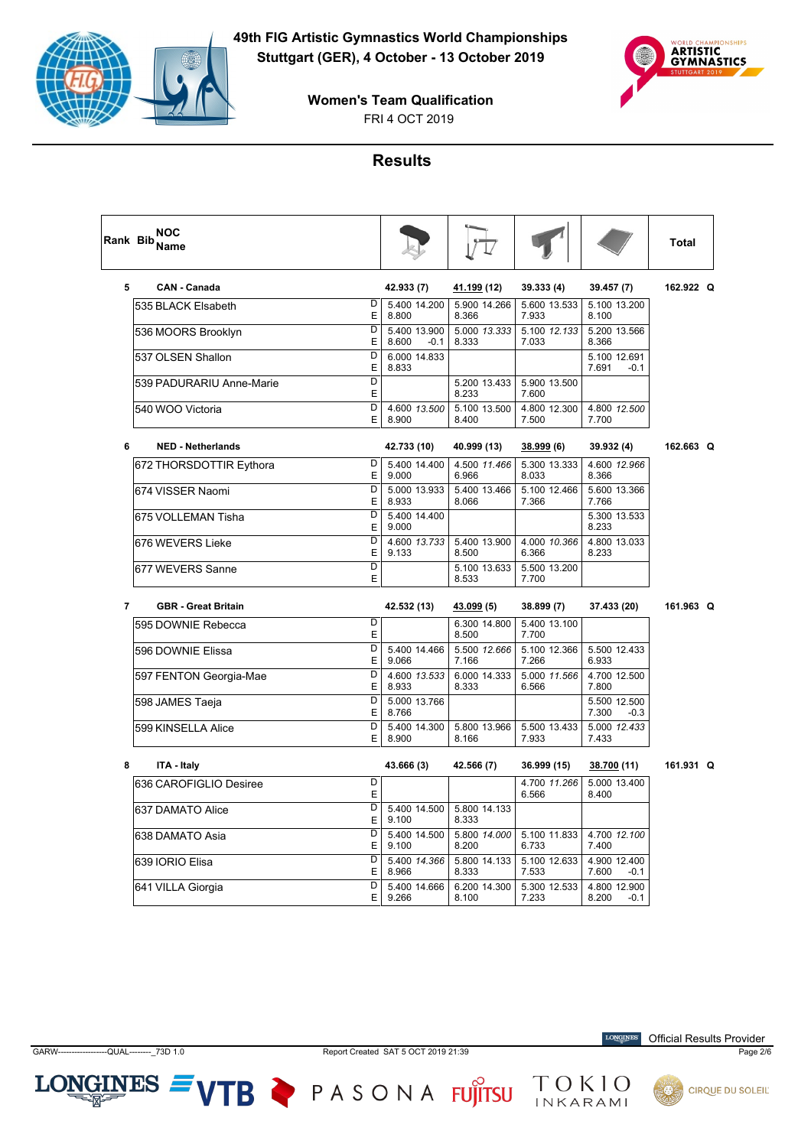



**Women's Team Qualification**

#### **Results**

|                | <b>NOC</b><br>Rank Bib Name |                              |                                 |                       |                       |                                 | <b>Total</b> |  |
|----------------|-----------------------------|------------------------------|---------------------------------|-----------------------|-----------------------|---------------------------------|--------------|--|
| 5              | <b>CAN - Canada</b>         |                              | 42.933 (7)                      | <u>41.199</u> (12)    | 39.333 (4)            | 39.457 (7)                      | 162.922 Q    |  |
|                | 535 BLACK Elsabeth          | D<br>E                       | 5.400 14.200<br>8.800           | 5.900 14.266<br>8.366 | 5.600 13.533<br>7.933 | 5.100 13.200<br>8.100           |              |  |
|                | 536 MOORS Brooklyn          | D<br>Ε                       | 5.400 13.900<br>8.600<br>$-0.1$ | 5.000 13.333<br>8.333 | 5.100 12.133<br>7.033 | 5.200 13.566<br>8.366           |              |  |
|                | 537 OLSEN Shallon           | D<br>E                       | 6.000 14.833<br>8.833           |                       |                       | 5.100 12.691<br>7.691<br>$-0.1$ |              |  |
|                | 539 PADURARIU Anne-Marie    | D<br>E                       |                                 | 5.200 13.433<br>8.233 | 5.900 13.500<br>7.600 |                                 |              |  |
|                | 540 WOO Victoria            | D<br>E                       | 4.600 13.500<br>8.900           | 5.100 13.500<br>8.400 | 4.800 12.300<br>7.500 | 4.800 12.500<br>7.700           |              |  |
| 6              | <b>NED - Netherlands</b>    |                              | 42.733 (10)                     | 40.999 (13)           | 38.999 (6)            | 39.932 (4)                      | 162.663 Q    |  |
|                | 672 THORSDOTTIR Eythora     | D<br>E                       | 5.400 14.400<br>9.000           | 4.500 11.466<br>6.966 | 5.300 13.333<br>8.033 | 4.600 12.966<br>8.366           |              |  |
|                | 674 VISSER Naomi            | D<br>E                       | 5.000 13.933<br>8.933           | 5.400 13.466<br>8.066 | 5.100 12.466<br>7.366 | 5.600 13.366<br>7.766           |              |  |
|                | 675 VOLLEMAN Tisha          | D<br>E                       | 5.400 14.400<br>9.000           |                       |                       | 5.300 13.533<br>8.233           |              |  |
|                | 676 WEVERS Lieke            | D<br>E                       | 4.600 13.733<br>9.133           | 5.400 13.900<br>8.500 | 4.000 10.366<br>6.366 | 4.800 13.033<br>8.233           |              |  |
|                | 677 WEVERS Sanne            | D<br>E                       |                                 | 5.100 13.633<br>8.533 | 5.500 13.200<br>7.700 |                                 |              |  |
| $\overline{7}$ | <b>GBR</b> - Great Britain  |                              | 42.532 (13)                     | 43.099 (5)            | 38.899 (7)            | 37.433 (20)                     | 161.963 Q    |  |
|                | 595 DOWNIE Rebecca          | D<br>E                       |                                 | 6.300 14.800<br>8.500 | 5.400 13.100<br>7.700 |                                 |              |  |
|                | 596 DOWNIE Elissa           | D<br>E                       | 5.400 14.466<br>9.066           | 5.500 12.666<br>7.166 | 5.100 12.366<br>7.266 | 5.500 12.433<br>6.933           |              |  |
|                | 597 FENTON Georgia-Mae      | $\overline{\mathsf{D}}$<br>E | 4.600 13.533<br>8.933           | 6.000 14.333<br>8.333 | 5.000 11.566<br>6.566 | 4.700 12.500<br>7.800           |              |  |
|                | 598 JAMES Taeja             | D<br>E                       | 5.000 13.766<br>8.766           |                       |                       | 5.500 12.500<br>7.300<br>$-0.3$ |              |  |
|                | 599 KINSELLA Alice          | D<br>E                       | 5.400 14.300<br>8.900           | 5.800 13.966<br>8.166 | 5.500 13.433<br>7.933 | 5.000 12.433<br>7.433           |              |  |
| 8              | ITA - Italy                 |                              | 43.666 (3)                      | 42.566 (7)            | 36.999 (15)           | 38.700 (11)                     | 161.931 Q    |  |
|                | 636 CAROFIGLIO Desiree      | D<br>E                       |                                 |                       | 4.700 11.266<br>6.566 | 5.000 13.400<br>8.400           |              |  |
|                | 637 DAMATO Alice            | D<br>E                       | 5.400 14.500<br>9.100           | 5.800 14.133<br>8.333 |                       |                                 |              |  |
|                | 638 DAMATO Asia             | D<br>E                       | 5.400 14.500<br>9.100           | 5.800 14.000<br>8.200 | 5.100 11.833<br>6.733 | 4.700 12.100<br>7.400           |              |  |
|                | 639 IORIO Elisa             | D<br>E                       | 5.400 14.366<br>8.966           | 5.800 14.133<br>8.333 | 5.100 12.633<br>7.533 | 4.900 12.400<br>7.600<br>$-0.1$ |              |  |
|                | 641 VILLA Giorgia           | D<br>E                       | 5.400 14.666<br>9.266           | 6.200 14.300<br>8.100 | 5.300 12.533<br>7.233 | 4.800 12.900<br>8.200<br>-0.1   |              |  |

 $LONGINES =$ 

VTB PASONA FUJITSU TOKIO



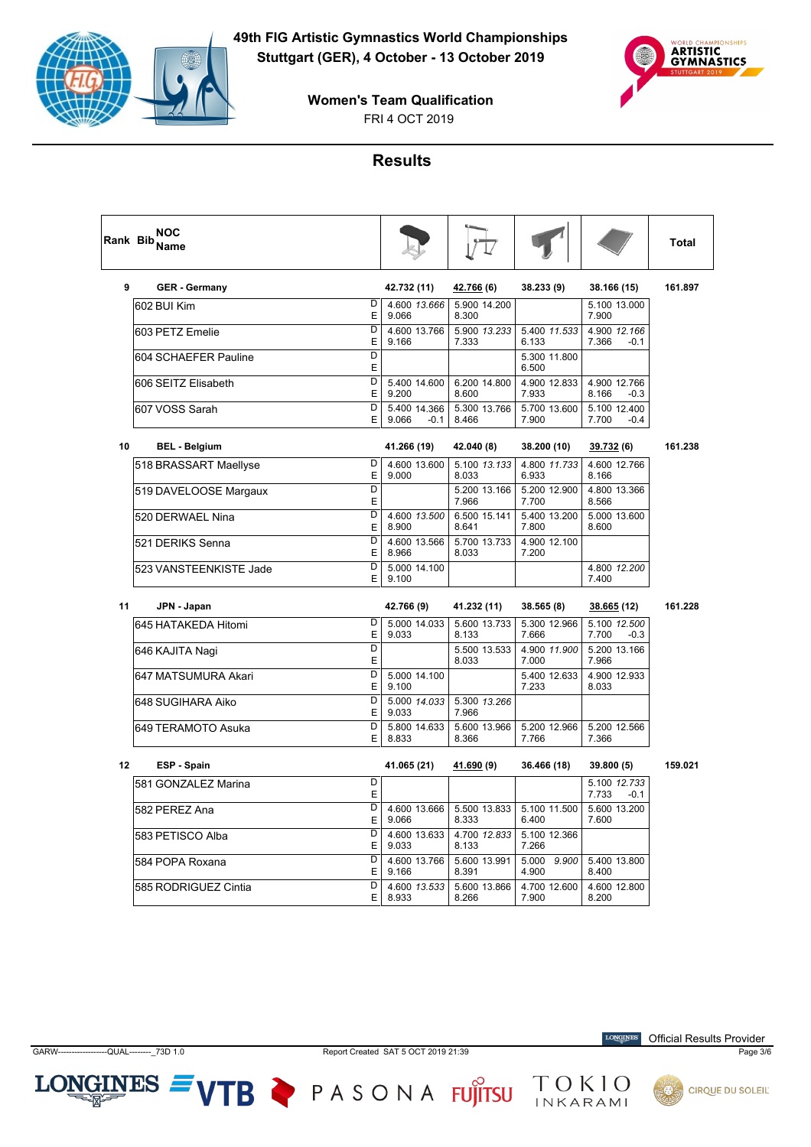



**Women's Team Qualification**

## **Results**

|    | NOC<br>Rank Bib <sub>Name</sub> |                     |                                 |                       |                       |                                 | Total   |
|----|---------------------------------|---------------------|---------------------------------|-----------------------|-----------------------|---------------------------------|---------|
| 9  | <b>GER - Germany</b>            |                     | 42.732 (11)                     | 42.766 (6)            | 38.233 (9)            | 38.166 (15)                     | 161.897 |
|    | 602 BUI Kim                     | D<br>E              | 4.600 13.666<br>9.066           | 5.900 14.200<br>8.300 |                       | 5.100 13.000<br>7.900           |         |
|    | 603 PETZ Emelie                 | D<br>E              | 4.600 13.766<br>9.166           | 5.900 13.233<br>7.333 | 5.400 11.533<br>6.133 | 4.900 12.166<br>7.366<br>$-0.1$ |         |
|    | 604 SCHAEFER Pauline            | $\overline{D}$<br>E |                                 |                       | 5.300 11.800<br>6.500 |                                 |         |
|    | 606 SEITZ Elisabeth             | D<br>E              | 5.400 14.600<br>9.200           | 6.200 14.800<br>8.600 | 4.900 12.833<br>7.933 | 4.900 12.766<br>8.166<br>$-0.3$ |         |
|    | l607 VOSS Sarah                 | $\overline{D}$<br>E | 5.400 14.366<br>9.066<br>$-0.1$ | 5.300 13.766<br>8.466 | 5.700 13.600<br>7.900 | 5.100 12.400<br>7.700<br>$-0.4$ |         |
| 10 | <b>BEL - Belgium</b>            |                     | 41.266 (19)                     | 42.040 (8)            | 38.200 (10)           | 39.732 <sub>(6)</sub>           | 161.238 |
|    | 518 BRASSART Maellyse           | D<br>E              | 4.600 13.600<br>9.000           | 5.100 13.133<br>8.033 | 4.800 11.733<br>6.933 | 4.600 12.766<br>8.166           |         |
|    | 519 DAVELOOSE Margaux           | D<br>E              |                                 | 5.200 13.166<br>7.966 | 5.200 12.900<br>7.700 | 4.800 13.366<br>8.566           |         |
|    | 520 DERWAEL Nina                | D<br>E              | 4.600 13.500<br>8.900           | 6.500 15.141<br>8.641 | 5.400 13.200<br>7.800 | 5.000 13.600<br>8.600           |         |
|    | 521 DERIKS Senna                | D<br>E              | 4.600 13.566<br>8.966           | 5.700 13.733<br>8.033 | 4.900 12.100<br>7.200 |                                 |         |
|    | 523 VANSTEENKISTE Jade          | D<br>E              | 5.000 14.100<br>9.100           |                       |                       | 4.800 12.200<br>7.400           |         |
| 11 | JPN - Japan                     |                     | 42.766 (9)                      | 41.232 (11)           | 38.565 (8)            | 38.665 (12)                     | 161.228 |
|    | 645 HATAKEDA Hitomi             | D<br>E              | 5.000 14.033<br>9.033           | 5.600 13.733<br>8.133 | 5.300 12.966<br>7.666 | 5.100 12.500                    |         |
|    |                                 |                     |                                 |                       |                       | 7.700<br>$-0.3$                 |         |
|    | 646 KAJITA Nagi                 | D<br>E              |                                 | 5.500 13.533<br>8.033 | 4.900 11.900<br>7.000 | 5.200 13.166<br>7.966           |         |
|    | 647 MATSUMURA Akari             | D<br>E              | 5.000 14.100<br>9.100           |                       | 5.400 12.633<br>7.233 | 4.900 12.933<br>8.033           |         |
|    | 648 SUGIHARA Aiko               | D<br>E              | 5.000 14.033<br>9.033           | 5.300 13.266<br>7.966 |                       |                                 |         |
|    | 649 TERAMOTO Asuka              | D<br>E              | 5.800 14.633<br>8.833           | 5.600 13.966<br>8.366 | 5.200 12.966<br>7.766 | 5.200 12.566<br>7.366           |         |
| 12 | ESP - Spain                     |                     | 41.065 (21)                     | 41.690 (9)            | 36.466 (18)           | 39.800 (5)                      | 159.021 |
|    | 581 GONZALEZ Marina             | D<br>E              |                                 |                       |                       | 5.100 12.733<br>7.733<br>$-0.1$ |         |
|    | 582 PEREZ Ana                   | D<br>E              | 4.600 13.666<br>9.066           | 5.500 13.833<br>8.333 | 5.100 11.500<br>6.400 | 5.600 13.200<br>7.600           |         |
|    | 583 PETISCO Alba                | $\overline{D}$<br>E | 4.600 13.633<br>9.033           | 4.700 12.833<br>8.133 | 5.100 12.366<br>7.266 |                                 |         |
|    | 584 POPA Roxana                 | $\overline{D}$<br>E | 4.600 13.766<br>9.166           | 5.600 13.991<br>8.391 | 5.000 9.900<br>4.900  | 5.400 13.800<br>8.400           |         |

 $LONGINES =$ 

VTB PASONA FUJITSU TOKIO

**LONGINES** Official Results Provider

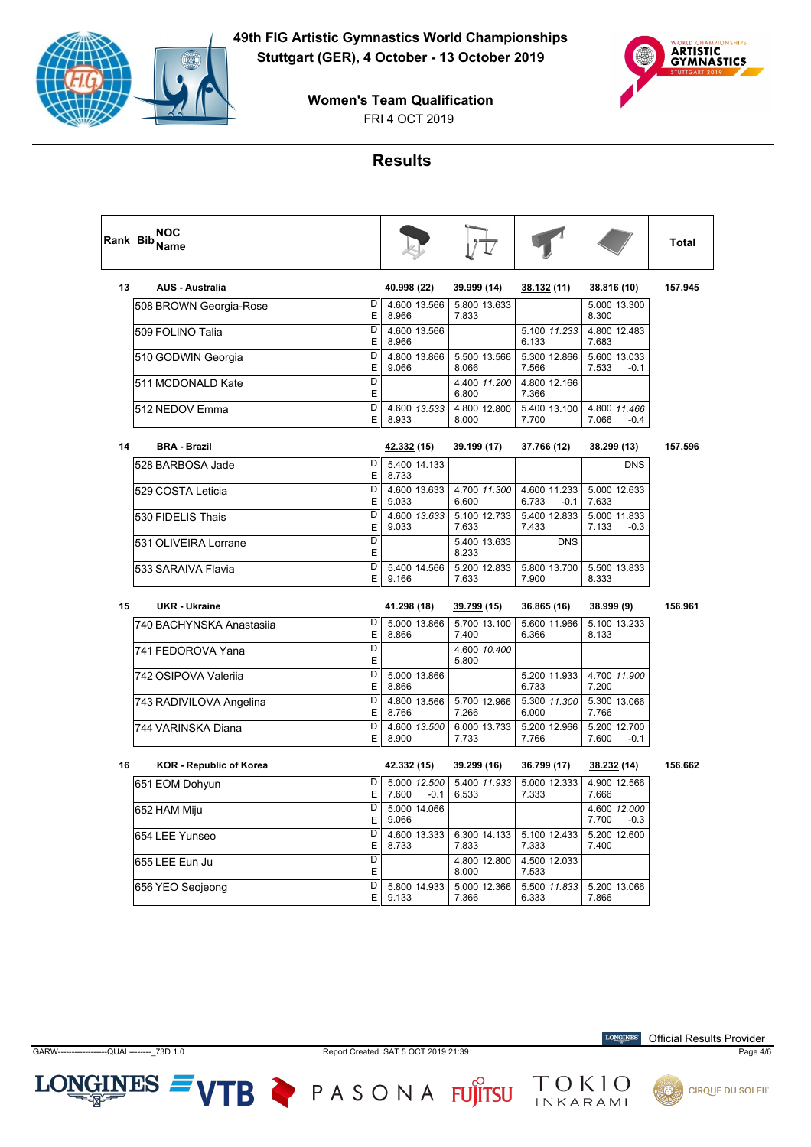



**Women's Team Qualification**

#### **Results**

|    | <b>NOC</b><br>Rank Bib <sub>Name</sub> |             |                                 |                                |                                 |                                 | Total   |
|----|----------------------------------------|-------------|---------------------------------|--------------------------------|---------------------------------|---------------------------------|---------|
| 13 | <b>AUS - Australia</b>                 |             | 40.998 (22)                     | 39.999 (14)                    | 38.132 (11)                     | 38.816 (10)                     | 157.945 |
|    | 508 BROWN Georgia-Rose                 | D<br>E      | 4.600 13.566<br>8.966           | 5.800 13.633<br>7.833          |                                 | 5.000 13.300<br>8.300           |         |
|    | 509 FOLINO Talia                       | D<br>Ε      | 4.600 13.566<br>8.966           |                                | 5.100 11.233<br>6.133           | 4.800 12.483<br>7.683           |         |
|    | 510 GODWIN Georgia                     | D<br>E      | 4.800 13.866<br>9.066           | 5.500 13.566<br>8.066          | 5.300 12.866<br>7.566           | 5.600 13.033<br>7.533<br>-0.1   |         |
|    | 511 MCDONALD Kate                      | D<br>E      |                                 | 4.400 11.200<br>6.800          | 4.800 12.166<br>7.366           |                                 |         |
|    | 512 NEDOV Emma                         | D<br>E      | 4.600 13.533<br>8.933           | 4.800 12.800<br>8.000          | 5.400 13.100<br>7.700           | 4.800 11.466<br>7.066<br>-0.4   |         |
| 14 | <b>BRA - Brazil</b>                    |             | 42.332 (15)                     | 39.199 (17)                    | 37.766 (12)                     | 38.299 (13)                     | 157.596 |
|    | 528 BARBOSA Jade                       | D<br>E      | 5.400 14.133<br>8.733           |                                |                                 | <b>DNS</b>                      |         |
|    | 529 COSTA Leticia                      | D<br>E      | 4.600 13.633<br>9.033           | 4.700 11.300<br>6.600          | 4.600 11.233<br>6.733<br>$-0.1$ | 5.000 12.633<br>7.633           |         |
|    | 530 FIDELIS Thais                      | D<br>E      | 4.600 13.633<br>9.033           | 5.100 12.733<br>7.633          | 5.400 12.833<br>7.433           | 5.000 11.833<br>7.133<br>$-0.3$ |         |
|    | 531 OLIVEIRA Lorrane                   | D<br>E      |                                 | 5.400 13.633<br>8.233          | <b>DNS</b>                      |                                 |         |
|    | 533 SARAIVA Flavia                     | D<br>E      | 5.400 14.566<br>9.166           | 5.200 12.833<br>7.633          | 5.800 13.700<br>7.900           | 5.500 13.833<br>8.333           |         |
| 15 | <b>UKR</b> - Ukraine                   |             | 41.298 (18)                     | <u>39.799</u> (15)             | 36.865 (16)                     | 38.999 (9)                      | 156.961 |
|    |                                        |             |                                 |                                |                                 |                                 |         |
|    | 740 BACHYNSKA Anastasija               | D<br>E      | 5.000 13.866<br>8.866           | 5.700 13.100<br>7.400          | 5.600 11.966<br>6.366           | 5.100 13.233<br>8.133           |         |
|    | 741 FEDOROVA Yana                      | D           |                                 | 4.600 10.400<br>5.800          |                                 |                                 |         |
|    | 742 OSIPOVA Valerija                   | Ε<br>D<br>E | 5.000 13.866<br>8.866           |                                | 5.200 11.933<br>6.733           | 4.700 11.900<br>7.200           |         |
|    | 743 RADIVILOVA Angelina                | D<br>E      | 4.800 13.566<br>8.766           | 5.700 12.966<br>7.266          | 5.300 11.300<br>6.000           | 5.300 13.066<br>7.766           |         |
|    | 744 VARINSKA Diana                     | D<br>E      | 4.600 13.500<br>8.900           | 6.000 13.733<br>7.733          | 5.200 12.966<br>7.766           | 5.200 12.700<br>7.600<br>$-0.1$ |         |
| 16 | <b>KOR - Republic of Korea</b>         |             | 42.332 (15)                     | 39.299 (16)                    | 36.799 (17)                     | 38.232 (14)                     | 156.662 |
|    | 651 EOM Dohyun                         | D<br>E      | 5.000 12.500<br>7.600<br>$-0.1$ | 5.400 11.933<br>6.533          | 5.000 12.333<br>7.333           | 4.900 12.566<br>7.666           |         |
|    | 652 HAM Miju                           | D<br>E      | 5.000 14.066<br>9.066           |                                |                                 | 4.600 12.000<br>7.700<br>$-0.3$ |         |
|    | 654 LEE Yunseo                         | D           | 4.600 13.333                    | 6.300 14.133                   | 5.100 12.433                    | 5.200 12.600<br>7.400           |         |
|    | 655 LEE Eun Ju                         | E<br>D<br>E | 8.733                           | 7.833<br>4.800 12.800<br>8.000 | 7.333<br>4.500 12.033<br>7.533  |                                 |         |

 $LONGINES =$ 



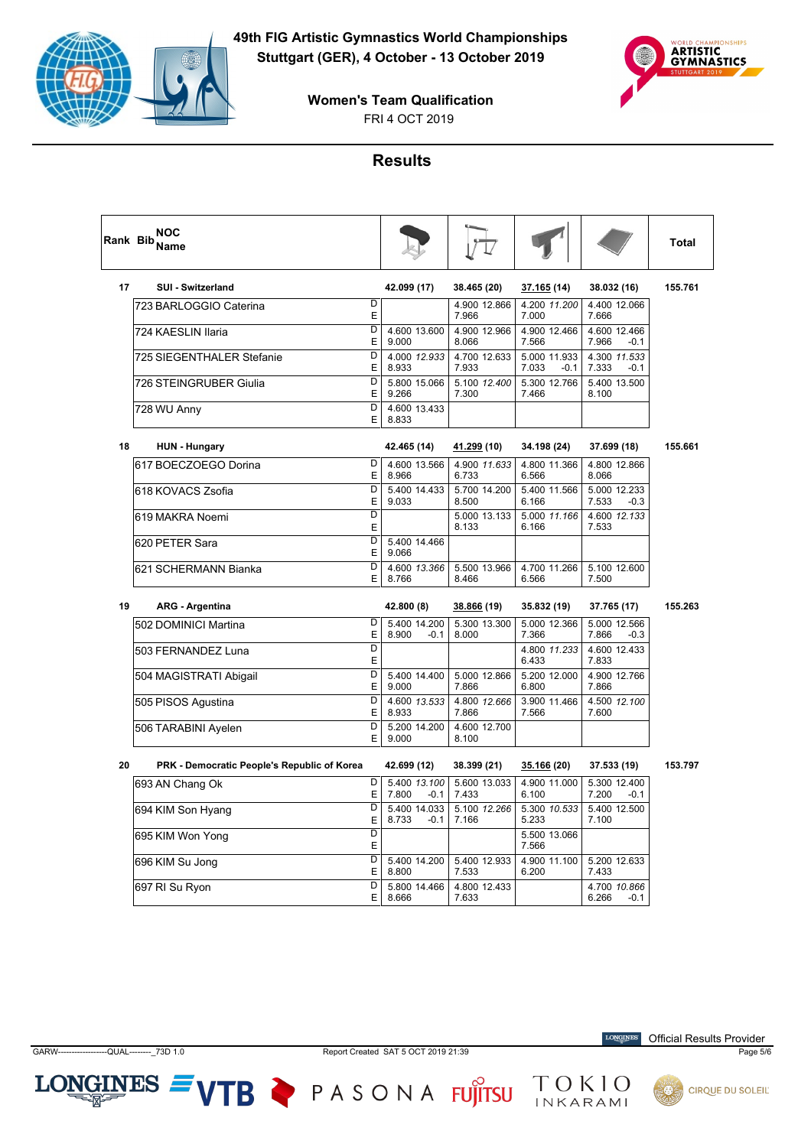



**Women's Team Qualification**

#### **Results**

|    | <b>NOC</b><br>Rank Bib Name                 |                              |                                 |                       |                                 |                                 | <b>Total</b> |
|----|---------------------------------------------|------------------------------|---------------------------------|-----------------------|---------------------------------|---------------------------------|--------------|
| 17 | <b>SUI - Switzerland</b>                    |                              | 42.099 (17)                     | 38.465 (20)           | 37.165 (14)                     | 38.032 (16)                     | 155.761      |
|    | 723 BARLOGGIO Caterina                      | D<br>E                       |                                 | 4.900 12.866<br>7.966 | 4.200 11.200<br>7.000           | 4.400 12.066<br>7.666           |              |
|    | 724 KAESLIN Ilaria                          | D<br>Ε                       | 4.600 13.600<br>9.000           | 4.900 12.966<br>8.066 | 4.900 12.466<br>7.566           | 4.600 12.466<br>7.966<br>$-0.1$ |              |
|    | 725 SIEGENTHALER Stefanie                   | $\overline{D}$<br>E          | 4.000 12.933<br>8.933           | 4.700 12.633<br>7.933 | 5.000 11.933<br>7.033<br>$-0.1$ | 4.300 11.533<br>7.333<br>$-0.1$ |              |
|    | 726 STEINGRUBER Giulia                      | D<br>E                       | 5.800 15.066<br>9.266           | 5.100 12.400<br>7.300 | 5.300 12.766<br>7.466           | 5.400 13.500<br>8.100           |              |
|    | 728 WU Anny                                 | D<br>E                       | 4.600 13.433<br>8.833           |                       |                                 |                                 |              |
| 18 | <b>HUN - Hungary</b>                        |                              | 42.465 (14)                     | <u>41.299</u> (10)    | 34.198 (24)                     | 37.699 (18)                     | 155.661      |
|    | 617 BOECZOEGO Dorina                        | D<br>E                       | 4.600 13.566<br>8.966           | 4.900 11.633<br>6.733 | 4.800 11.366<br>6.566           | 4.800 12.866<br>8.066           |              |
|    | 618 KOVACS Zsofia                           | D<br>E                       | 5.400 14.433<br>9.033           | 5.700 14.200<br>8.500 | 5.400 11.566<br>6.166           | 5.000 12.233<br>7.533<br>$-0.3$ |              |
|    | 619 MAKRA Noemi                             | $\overline{D}$<br>E          |                                 | 5.000 13.133<br>8.133 | 5.000 11.166<br>6.166           | 4.600 12.133<br>7.533           |              |
|    | 620 PETER Sara                              | D<br>E                       | 5.400 14.466<br>9.066           |                       |                                 |                                 |              |
|    | 621 SCHERMANN Bianka                        | D<br>E                       | 4.600 13.366<br>8.766           | 5.500 13.966<br>8.466 | 4.700 11.266<br>6.566           | 5.100 12.600<br>7.500           |              |
| 19 | <b>ARG - Argentina</b>                      |                              | 42.800 (8)                      | <u>38.866</u> (19)    | 35.832 (19)                     | 37.765 (17)                     | 155.263      |
|    | 502 DOMINICI Martina                        | D<br>E                       | 5.400 14.200<br>8.900<br>$-0.1$ | 5.300 13.300<br>8.000 | 5.000 12.366<br>7.366           | 5.000 12.566<br>7.866<br>$-0.3$ |              |
|    | 503 FERNANDEZ Luna                          | D<br>Ε                       |                                 |                       | 4.800 11.233<br>6.433           | 4.600 12.433<br>7.833           |              |
|    | 504 MAGISTRATI Abigail                      | D<br>E                       | 5.400 14.400<br>9.000           | 5.000 12.866<br>7.866 | 5.200 12.000<br>6.800           | 4.900 12.766<br>7.866           |              |
|    | 505 PISOS Agustina                          | D<br>E                       | 4.600 13.533<br>8.933           | 4.800 12.666<br>7.866 | 3.900 11.466<br>7.566           | 4.500 12.100<br>7.600           |              |
|    | 506 TARABINI Ayelen                         | D<br>E                       | 5.200 14.200<br>9.000           | 4.600 12.700<br>8.100 |                                 |                                 |              |
| 20 | PRK - Democratic People's Republic of Korea |                              | 42.699 (12)                     | 38.399 (21)           | 35.166 (20)                     | 37.533 (19)                     | 153.797      |
|    | 693 AN Chang Ok                             | D<br>E                       | 5.400 13.100<br>7.800<br>$-0.1$ | 5.600 13.033<br>7.433 | 4.900 11.000<br>6.100           | 5.300 12.400<br>7.200<br>$-0.1$ |              |
|    | 694 KIM Son Hyang                           | D<br>E                       | 5.400 14.033<br>8.733<br>$-0.1$ | 5.100 12.266<br>7.166 | 5.300 10.533<br>5.233           | 5.400 12.500<br>7.100           |              |
|    | 695 KIM Won Yong                            | $\overline{\mathsf{D}}$<br>Ε |                                 |                       | 5.500 13.066<br>7.566           |                                 |              |
|    | 696 KIM Su Jong                             | D<br>E                       | 5.400 14.200<br>8.800           | 5.400 12.933<br>7.533 | 4.900 11.100<br>6.200           | 5.200 12.633<br>7.433           |              |
|    | 697 RI Su Ryon                              | D<br>Е                       | 5.800 14.466<br>8.666           | 4.800 12.433<br>7.633 |                                 | 4.700 10.866<br>6.266<br>-0.1   |              |

 $LONGINES =$ 

VTB PASONA FUJITSU TOKIO